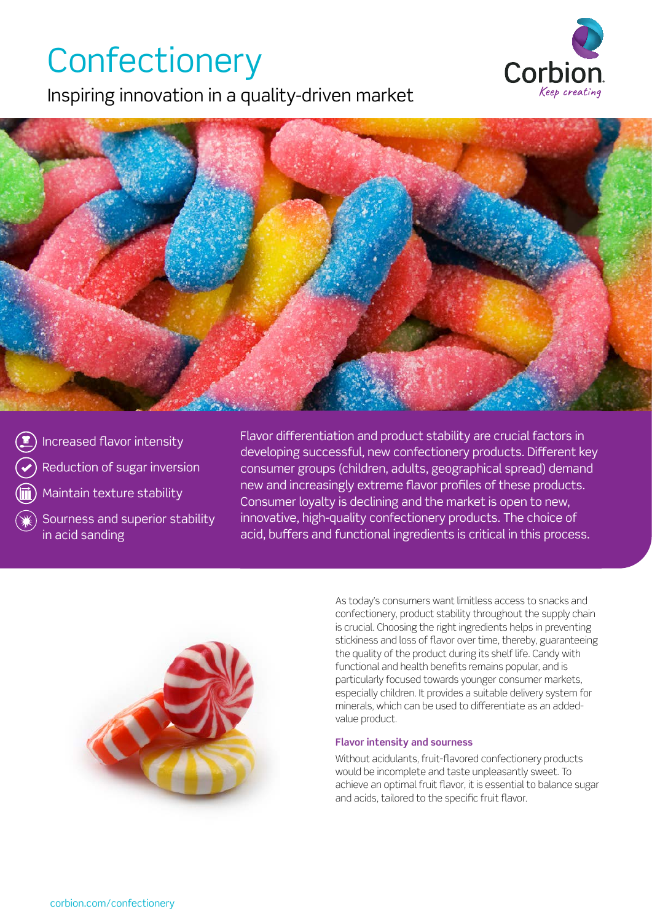## **Confectionery**

Inspiring innovation in a quality-driven market





Increased flavor intensity Reduction of sugar inversion Maintain texture stability

Sourness and superior stability in acid sanding

Flavor differentiation and product stability are crucial factors in developing successful, new confectionery products. Different key consumer groups (children, adults, geographical spread) demand new and increasingly extreme flavor profiles of these products. Consumer loyalty is declining and the market is open to new, innovative, high-quality confectionery products. The choice of acid, buffers and functional ingredients is critical in this process.



As today's consumers want limitless access to snacks and confectionery, product stability throughout the supply chain is crucial. Choosing the right ingredients helps in preventing stickiness and loss of flavor over time, thereby, guaranteeing the quality of the product during its shelf life. Candy with functional and health benefits remains popular, and is particularly focused towards younger consumer markets, especially children. It provides a suitable delivery system for minerals, which can be used to differentiate as an addedvalue product.

### **Flavor intensity and sourness**

Without acidulants, fruit-flavored confectionery products would be incomplete and taste unpleasantly sweet. To achieve an optimal fruit flavor, it is essential to balance sugar and acids, tailored to the specific fruit flavor.